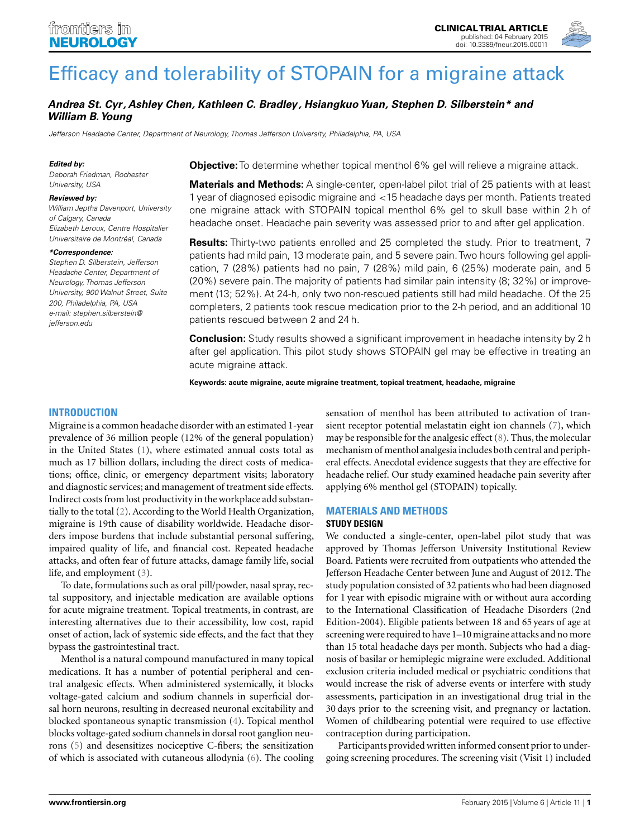

# Andrea St. Cyr, Ashley Chen, Kathleen C. Bradley, Hsiangkuo Yuan, Stephen D. Silberstein\* and **William B.Young**

Jefferson Headache Center, Department of Neurology, Thomas Jefferson University, Philadelphia, PA, USA

#### **Edited by:**

Deborah Friedman, Rochester University, USA

#### **Reviewed by:**

William Jeptha Davenport, University of Calgary, Canada Elizabeth Leroux, Centre Hospitalier Universitaire de Montréal, Canada

#### **\*Correspondence:**

Stephen D. Silberstein, Jefferson Headache Center, Department of Neurology, Thomas Jefferson University, 900 Walnut Street, Suite 200, Philadelphia, PA, USA e-mail: stephen.silberstein@ jefferson.edu

**Objective:**To determine whether topical menthol 6% gel will relieve a migraine attack.

**Materials and Methods:** A single-center, open-label pilot trial of 25 patients with at least 1 year of diagnosed episodic migraine and <15 headache days per month. Patients treated one migraine attack with STOPAIN topical menthol 6% gel to skull base within 2 h of headache onset. Headache pain severity was assessed prior to and after gel application.

**Results:** Thirty-two patients enrolled and 25 completed the study. Prior to treatment, 7 patients had mild pain, 13 moderate pain, and 5 severe pain.Two hours following gel application, 7 (28%) patients had no pain, 7 (28%) mild pain, 6 (25%) moderate pain, and 5 (20%) severe pain. The majority of patients had similar pain intensity (8; 32%) or improvement (13; 52%). At 24-h, only two non-rescued patients still had mild headache. Of the 25 completers, 2 patients took rescue medication prior to the 2-h period, and an additional 10 patients rescued between 2 and 24 h.

**Conclusion:** Study results showed a significant improvement in headache intensity by 2 h after gel application. This pilot study shows STOPAIN gel may be effective in treating an acute migraine attack.

**Keywords: acute migraine, acute migraine treatment, topical treatment, headache, migraine**

## **INTRODUCTION**

Migraine is a common headache disorder with an estimated 1-year prevalence of 36 million people (12% of the general population) in the United States (1), where estimated annual costs total as much as 17 billion dollars, including the direct costs of medications; office, clinic, or emergency department visits; laboratory and diagnostic services; and management of treatment side effects. Indirect costs from lost productivity in the workplace add substantially to the total (2). According to the World Health Organization, migraine is 19th cause of disability worldwide. Headache disorders impose burdens that include substantial personal suffering, impaired quality of life, and financial cost. Repeated headache attacks, and often fear of future attacks, damage family life, social life, and employment (3).

To date, formulations such as oral pill/powder, nasal spray, rectal suppository, and injectable medication are available options for acute migraine treatment. Topical treatments, in contrast, are interesting alternatives due to their accessibility, low cost, rapid onset of action, lack of systemic side effects, and the fact that they bypass the gastrointestinal tract.

Menthol is a natural compound manufactured in many topical medications. It has a number of potential peripheral and central analgesic effects. When administered systemically, it blocks voltage-gated calcium and sodium channels in superficial dorsal horn neurons, resulting in decreased neuronal excitability and blocked spontaneous synaptic transmission (4). Topical menthol blocks voltage-gated sodium channels in dorsal root ganglion neurons (5) and desensitizes nociceptive C-fibers; the sensitization of which is associated with cutaneous allodynia (6). The cooling

sensation of menthol has been attributed to activation of transient receptor potential melastatin eight ion channels (7), which may be responsible for the analgesic effect (8). Thus, the molecular mechanism of menthol analgesia includes both central and peripheral effects. Anecdotal evidence suggests that they are effective for headache relief. Our study examined headache pain severity after applying 6% menthol gel (STOPAIN) topically.

## **MATERIALS AND METHODS**

# **STUDY DESIGN**

We conducted a single-center, open-label pilot study that was approved by Thomas Jefferson University Institutional Review Board. Patients were recruited from outpatients who attended the Jefferson Headache Center between June and August of 2012. The study population consisted of 32 patients who had been diagnosed for 1 year with episodic migraine with or without aura according to the International Classification of Headache Disorders (2nd Edition-2004). Eligible patients between 18 and 65 years of age at screening were required to have 1–10 migraine attacks and no more than 15 total headache days per month. Subjects who had a diagnosis of basilar or hemiplegic migraine were excluded. Additional exclusion criteria included medical or psychiatric conditions that would increase the risk of adverse events or interfere with study assessments, participation in an investigational drug trial in the 30 days prior to the screening visit, and pregnancy or lactation. Women of childbearing potential were required to use effective contraception during participation.

Participants provided written informed consent prior to undergoing screening procedures. The screening visit (Visit 1) included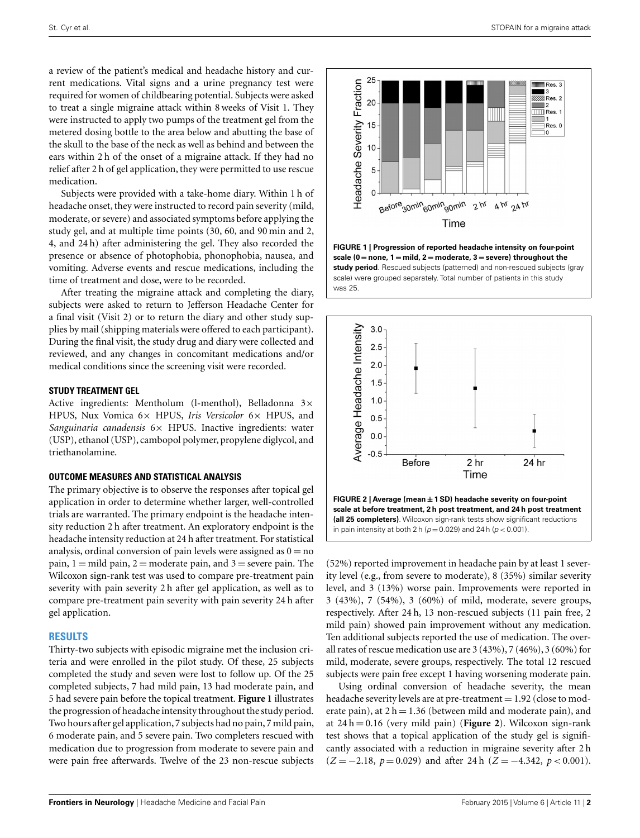a review of the patient's medical and headache history and current medications. Vital signs and a urine pregnancy test were required for women of childbearing potential. Subjects were asked to treat a single migraine attack within 8 weeks of Visit 1. They were instructed to apply two pumps of the treatment gel from the metered dosing bottle to the area below and abutting the base of the skull to the base of the neck as well as behind and between the ears within 2 h of the onset of a migraine attack. If they had no relief after 2 h of gel application, they were permitted to use rescue medication.

Subjects were provided with a take-home diary. Within 1 h of headache onset, they were instructed to record pain severity (mild, moderate, or severe) and associated symptoms before applying the study gel, and at multiple time points (30, 60, and 90 min and 2, 4, and 24 h) after administering the gel. They also recorded the presence or absence of photophobia, phonophobia, nausea, and vomiting. Adverse events and rescue medications, including the time of treatment and dose, were to be recorded.

After treating the migraine attack and completing the diary, subjects were asked to return to Jefferson Headache Center for a final visit (Visit 2) or to return the diary and other study supplies by mail (shipping materials were offered to each participant). During the final visit, the study drug and diary were collected and reviewed, and any changes in concomitant medications and/or medical conditions since the screening visit were recorded.

## **STUDY TREATMENT GEL**

Active ingredients: Mentholum (l-menthol), Belladonna 3× HPUS, Nux Vomica 6× HPUS, *Iris Versicolor* 6× HPUS, and *Sanguinaria canadensis* 6× HPUS. Inactive ingredients: water (USP), ethanol (USP), cambopol polymer, propylene diglycol, and triethanolamine.

### **OUTCOME MEASURES AND STATISTICAL ANALYSIS**

The primary objective is to observe the responses after topical gel application in order to determine whether larger, well-controlled trials are warranted. The primary endpoint is the headache intensity reduction 2 h after treatment. An exploratory endpoint is the headache intensity reduction at 24 h after treatment. For statistical analysis, ordinal conversion of pain levels were assigned as  $0 = no$ pain,  $1 =$  mild pain,  $2 =$  moderate pain, and  $3 =$  severe pain. The Wilcoxon sign-rank test was used to compare pre-treatment pain severity with pain severity 2 h after gel application, as well as to compare pre-treatment pain severity with pain severity 24 h after gel application.

### **RESULTS**

Thirty-two subjects with episodic migraine met the inclusion criteria and were enrolled in the pilot study. Of these, 25 subjects completed the study and seven were lost to follow up. Of the 25 completed subjects, 7 had mild pain, 13 had moderate pain, and 5 had severe pain before the topical treatment. **Figure 1** illustrates the progression of headache intensity throughout the study period. Two hours after gel application, 7 subjects had no pain, 7 mild pain, 6 moderate pain, and 5 severe pain. Two completers rescued with medication due to progression from moderate to severe pain and were pain free afterwards. Twelve of the 23 non-rescue subjects



**FIGURE 1 | Progression of reported headache intensity on four-point scale (0** = **none, 1** = **mild, 2** = **moderate, 3** = **severe) throughout the study period**. Rescued subjects (patterned) and non-rescued subjects (gray scale) were grouped separately. Total number of patients in this study was 25.



(52%) reported improvement in headache pain by at least 1 severity level (e.g., from severe to moderate), 8 (35%) similar severity level, and 3 (13%) worse pain. Improvements were reported in 3 (43%), 7 (54%), 3 (60%) of mild, moderate, severe groups, respectively. After 24 h, 13 non-rescued subjects (11 pain free, 2 mild pain) showed pain improvement without any medication. Ten additional subjects reported the use of medication. The overall rates of rescue medication use are 3 (43%), 7 (46%), 3 (60%) for mild, moderate, severe groups, respectively. The total 12 rescued subjects were pain free except 1 having worsening moderate pain.

Using ordinal conversion of headache severity, the mean headache severity levels are at pre-treatment  $= 1.92$  (close to moderate pain), at  $2 h = 1.36$  (between mild and moderate pain), and at 24 h = 0.16 (very mild pain) (**Figure 2**). Wilcoxon sign-rank test shows that a topical application of the study gel is significantly associated with a reduction in migraine severity after 2 h (*Z* = −2.18, *p* = 0.029) and after 24 h (*Z* = −4.342, *p* < 0.001).